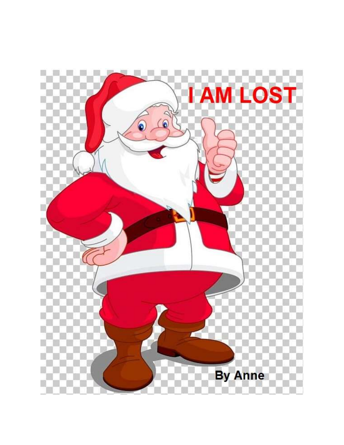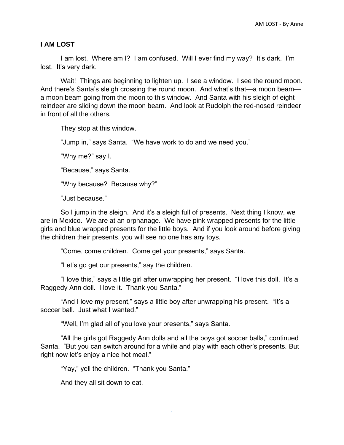## **I AM LOST**

I am lost. Where am I? I am confused. Will I ever find my way? It's dark. I'm lost. It's very dark.

Wait! Things are beginning to lighten up. I see a window. I see the round moon. And there's Santa's sleigh crossing the round moon. And what's that—a moon beam a moon beam going from the moon to this window. And Santa with his sleigh of eight reindeer are sliding down the moon beam. And look at Rudolph the red-nosed reindeer in front of all the others.

They stop at this window.

"Jump in," says Santa. "We have work to do and we need you."

"Why me?" say I.

"Because," says Santa.

"Why because? Because why?"

"Just because."

So I jump in the sleigh. And it's a sleigh full of presents. Next thing I know, we are in Mexico. We are at an orphanage. We have pink wrapped presents for the little girls and blue wrapped presents for the little boys. And if you look around before giving the children their presents, you will see no one has any toys.

"Come, come children. Come get your presents," says Santa.

"Let's go get our presents," say the children.

"I love this," says a little girl after unwrapping her present. "I love this doll. It's a Raggedy Ann doll. I love it. Thank you Santa."

"And I love my present," says a little boy after unwrapping his present. "It's a soccer ball. Just what I wanted."

"Well, I'm glad all of you love your presents," says Santa.

"All the girls got Raggedy Ann dolls and all the boys got soccer balls," continued Santa. "But you can switch around for a while and play with each other's presents. But right now let's enjoy a nice hot meal."

"Yay," yell the children. "Thank you Santa."

And they all sit down to eat.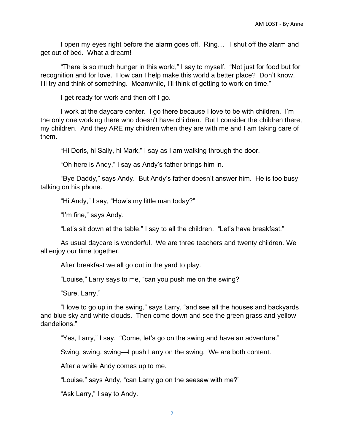I open my eyes right before the alarm goes off. Ring... I shut off the alarm and get out of bed. What a dream!

"There is so much hunger in this world," I say to myself. "Not just for food but for recognition and for love. How can I help make this world a better place? Don't know. I'll try and think of something. Meanwhile, I'll think of getting to work on time."

I get ready for work and then off I go.

I work at the daycare center. I go there because I love to be with children. I'm the only one working there who doesn't have children. But I consider the children there, my children. And they ARE my children when they are with me and I am taking care of them.

"Hi Doris, hi Sally, hi Mark," I say as I am walking through the door.

"Oh here is Andy," I say as Andy's father brings him in.

"Bye Daddy," says Andy. But Andy's father doesn't answer him. He is too busy talking on his phone.

"Hi Andy," I say, "How's my little man today?"

"I'm fine," says Andy.

"Let's sit down at the table," I say to all the children. "Let's have breakfast."

As usual daycare is wonderful. We are three teachers and twenty children. We all enjoy our time together.

After breakfast we all go out in the yard to play.

"Louise," Larry says to me, "can you push me on the swing?

"Sure, Larry."

"I love to go up in the swing," says Larry, "and see all the houses and backyards and blue sky and white clouds. Then come down and see the green grass and yellow dandelions."

"Yes, Larry," I say. "Come, let's go on the swing and have an adventure."

Swing, swing, swing—I push Larry on the swing. We are both content.

After a while Andy comes up to me.

"Louise," says Andy, "can Larry go on the seesaw with me?"

"Ask Larry," I say to Andy.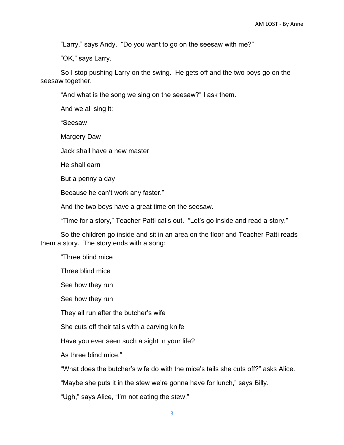"Larry," says Andy. "Do you want to go on the seesaw with me?"

"OK," says Larry.

So I stop pushing Larry on the swing. He gets off and the two boys go on the seesaw together.

"And what is the song we sing on the seesaw?" I ask them.

And we all sing it:

"Seesaw

Margery Daw

Jack shall have a new master

He shall earn

But a penny a day

Because he can't work any faster."

And the two boys have a great time on the seesaw.

"Time for a story," Teacher Patti calls out. "Let's go inside and read a story."

So the children go inside and sit in an area on the floor and Teacher Patti reads them a story. The story ends with a song:

"Three blind mice

Three blind mice

See how they run

See how they run

They all run after the butcher's wife

She cuts off their tails with a carving knife

Have you ever seen such a sight in your life?

As three blind mice."

"What does the butcher's wife do with the mice's tails she cuts off?" asks Alice.

"Maybe she puts it in the stew we're gonna have for lunch," says Billy.

"Ugh," says Alice, "I'm not eating the stew."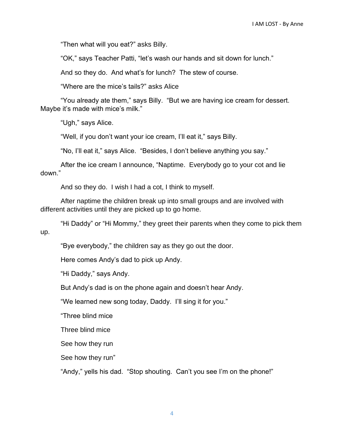"Then what will you eat?" asks Billy.

"OK," says Teacher Patti, "let's wash our hands and sit down for lunch."

And so they do. And what's for lunch? The stew of course.

"Where are the mice's tails?" asks Alice

"You already ate them," says Billy. "But we are having ice cream for dessert. Maybe it's made with mice's milk."

"Ugh," says Alice.

"Well, if you don't want your ice cream, I'll eat it," says Billy.

"No, I'll eat it," says Alice. "Besides, I don't believe anything you say."

After the ice cream I announce, "Naptime. Everybody go to your cot and lie down."

And so they do. I wish I had a cot, I think to myself.

After naptime the children break up into small groups and are involved with different activities until they are picked up to go home.

"Hi Daddy" or "Hi Mommy," they greet their parents when they come to pick them up.

"Bye everybody," the children say as they go out the door.

Here comes Andy's dad to pick up Andy.

"Hi Daddy," says Andy.

But Andy's dad is on the phone again and doesn't hear Andy.

"We learned new song today, Daddy. I'll sing it for you."

"Three blind mice

Three blind mice

See how they run

See how they run"

"Andy," yells his dad. "Stop shouting. Can't you see I'm on the phone!"